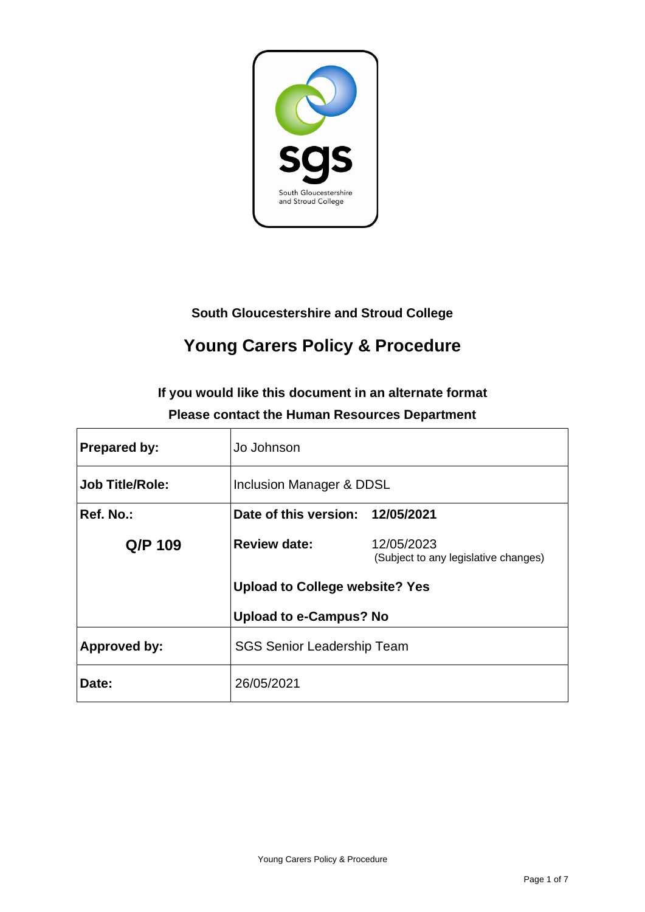

### **South Gloucestershire and Stroud College**

# **Young Carers Policy & Procedure**

### **If you would like this document in an alternate format Please contact the Human Resources Department**

| <b>Prepared by:</b>    | Jo Johnson                            |                                                    |  |
|------------------------|---------------------------------------|----------------------------------------------------|--|
| <b>Job Title/Role:</b> | Inclusion Manager & DDSL              |                                                    |  |
| Ref. No.:              | Date of this version: 12/05/2021      |                                                    |  |
| Q/P 109                | <b>Review date:</b>                   | 12/05/2023<br>(Subject to any legislative changes) |  |
|                        | <b>Upload to College website? Yes</b> |                                                    |  |
|                        | <b>Upload to e-Campus? No</b>         |                                                    |  |
| Approved by:           | <b>SGS Senior Leadership Team</b>     |                                                    |  |
| Date:                  | 26/05/2021                            |                                                    |  |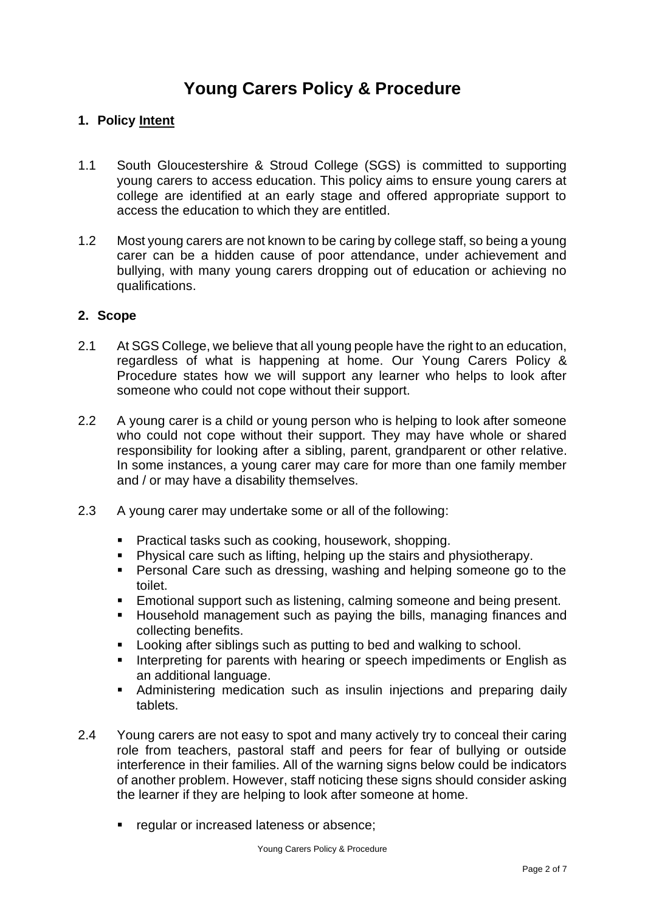## **Young Carers Policy & Procedure**

#### **1. Policy Intent**

- 1.1 South Gloucestershire & Stroud College (SGS) is committed to supporting young carers to access education. This policy aims to ensure young carers at college are identified at an early stage and offered appropriate support to access the education to which they are entitled.
- 1.2 Most young carers are not known to be caring by college staff, so being a young carer can be a hidden cause of poor attendance, under achievement and bullying, with many young carers dropping out of education or achieving no qualifications.

#### **2. Scope**

- 2.1 At SGS College, we believe that all young people have the right to an education, regardless of what is happening at home. Our Young Carers Policy & Procedure states how we will support any learner who helps to look after someone who could not cope without their support.
- 2.2 A young carer is a child or young person who is helping to look after someone who could not cope without their support. They may have whole or shared responsibility for looking after a sibling, parent, grandparent or other relative. In some instances, a young carer may care for more than one family member and / or may have a disability themselves.
- 2.3 A young carer may undertake some or all of the following:
	- Practical tasks such as cooking, housework, shopping.
	- Physical care such as lifting, helping up the stairs and physiotherapy.
	- Personal Care such as dressing, washing and helping someone go to the toilet.
	- Emotional support such as listening, calming someone and being present.
	- Household management such as paying the bills, managing finances and collecting benefits.
	- Looking after siblings such as putting to bed and walking to school.
	- Interpreting for parents with hearing or speech impediments or English as an additional language.
	- Administering medication such as insulin injections and preparing daily tablets.
- 2.4 Young carers are not easy to spot and many actively try to conceal their caring role from teachers, pastoral staff and peers for fear of bullying or outside interference in their families. All of the warning signs below could be indicators of another problem. However, staff noticing these signs should consider asking the learner if they are helping to look after someone at home.
	- regular or increased lateness or absence;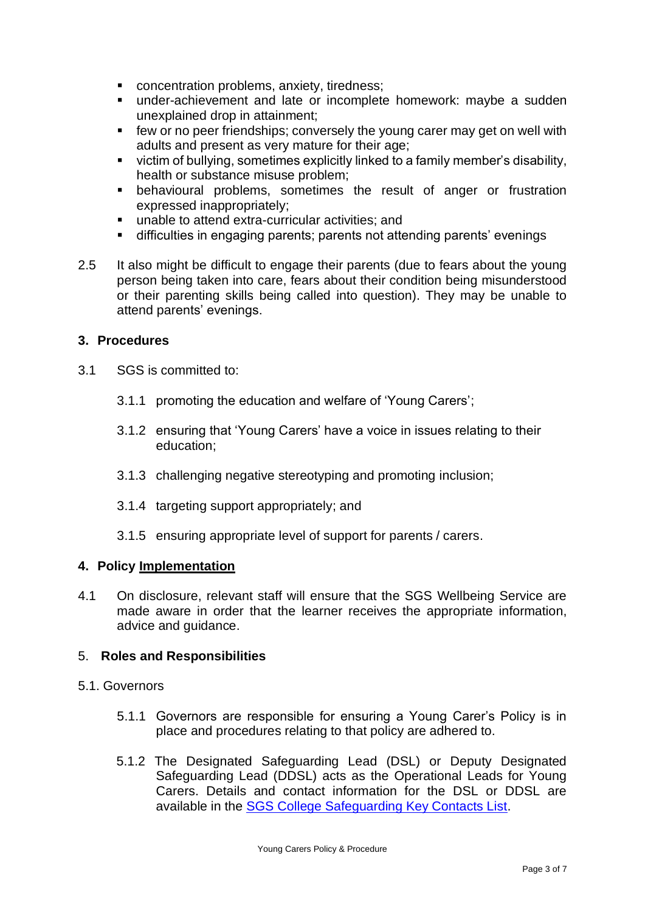- concentration problems, anxiety, tiredness;
- under-achievement and late or incomplete homework: maybe a sudden unexplained drop in attainment;
- few or no peer friendships; conversely the young carer may get on well with adults and present as very mature for their age;
- victim of bullying, sometimes explicitly linked to a family member's disability, health or substance misuse problem;
- **E** behavioural problems, sometimes the result of anger or frustration expressed inappropriately;
- unable to attend extra-curricular activities; and
- difficulties in engaging parents; parents not attending parents' evenings
- 2.5 It also might be difficult to engage their parents (due to fears about the young person being taken into care, fears about their condition being misunderstood or their parenting skills being called into question). They may be unable to attend parents' evenings.

#### **3. Procedures**

- 3.1 SGS is committed to:
	- 3.1.1 promoting the education and welfare of 'Young Carers';
	- 3.1.2 ensuring that 'Young Carers' have a voice in issues relating to their education;
	- 3.1.3 challenging negative stereotyping and promoting inclusion;
	- 3.1.4 targeting support appropriately; and
	- 3.1.5 ensuring appropriate level of support for parents / carers.

#### **4. Policy Implementation**

4.1 On disclosure, relevant staff will ensure that the SGS Wellbeing Service are made aware in order that the learner receives the appropriate information, advice and guidance.

#### 5. **Roles and Responsibilities**

#### 5.1. Governors

- 5.1.1 Governors are responsible for ensuring a Young Carer's Policy is in place and procedures relating to that policy are adhered to.
- 5.1.2 The Designated Safeguarding Lead (DSL) or Deputy Designated Safeguarding Lead (DDSL) acts as the Operational Leads for Young Carers. Details and contact information for the DSL or DDSL are available in the [SGS College Safeguarding Key Contacts List.](https://sgscol.sharepoint.com/:w:/s/staff/DataHub/Ef1rhnI1-IFGsEUcukmaDvkBi10rjcfWZQbCNEFzJl6E0g?e=he0JXH)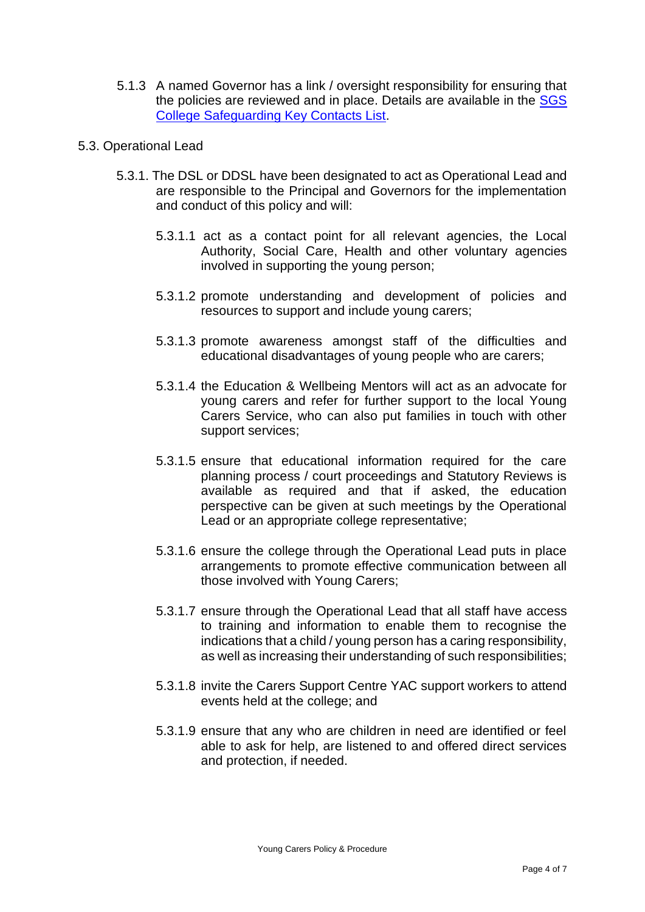5.1.3 A named Governor has a link / oversight responsibility for ensuring that the policies are reviewed and in place. Details are available in the [SGS](https://sgscol.sharepoint.com/:w:/s/staff/DataHub/Ef1rhnI1-IFGsEUcukmaDvkBi10rjcfWZQbCNEFzJl6E0g?e=he0JXH)  [College Safeguarding Key Contacts List.](https://sgscol.sharepoint.com/:w:/s/staff/DataHub/Ef1rhnI1-IFGsEUcukmaDvkBi10rjcfWZQbCNEFzJl6E0g?e=he0JXH)

#### 5.3. Operational Lead

- 5.3.1. The DSL or DDSL have been designated to act as Operational Lead and are responsible to the Principal and Governors for the implementation and conduct of this policy and will:
	- 5.3.1.1 act as a contact point for all relevant agencies, the Local Authority, Social Care, Health and other voluntary agencies involved in supporting the young person;
	- 5.3.1.2 promote understanding and development of policies and resources to support and include young carers;
	- 5.3.1.3 promote awareness amongst staff of the difficulties and educational disadvantages of young people who are carers;
	- 5.3.1.4 the Education & Wellbeing Mentors will act as an advocate for young carers and refer for further support to the local Young Carers Service, who can also put families in touch with other support services;
	- 5.3.1.5 ensure that educational information required for the care planning process / court proceedings and Statutory Reviews is available as required and that if asked, the education perspective can be given at such meetings by the Operational Lead or an appropriate college representative;
	- 5.3.1.6 ensure the college through the Operational Lead puts in place arrangements to promote effective communication between all those involved with Young Carers;
	- 5.3.1.7 ensure through the Operational Lead that all staff have access to training and information to enable them to recognise the indications that a child / young person has a caring responsibility, as well as increasing their understanding of such responsibilities;
	- 5.3.1.8 invite the Carers Support Centre YAC support workers to attend events held at the college; and
	- 5.3.1.9 ensure that any who are children in need are identified or feel able to ask for help, are listened to and offered direct services and protection, if needed.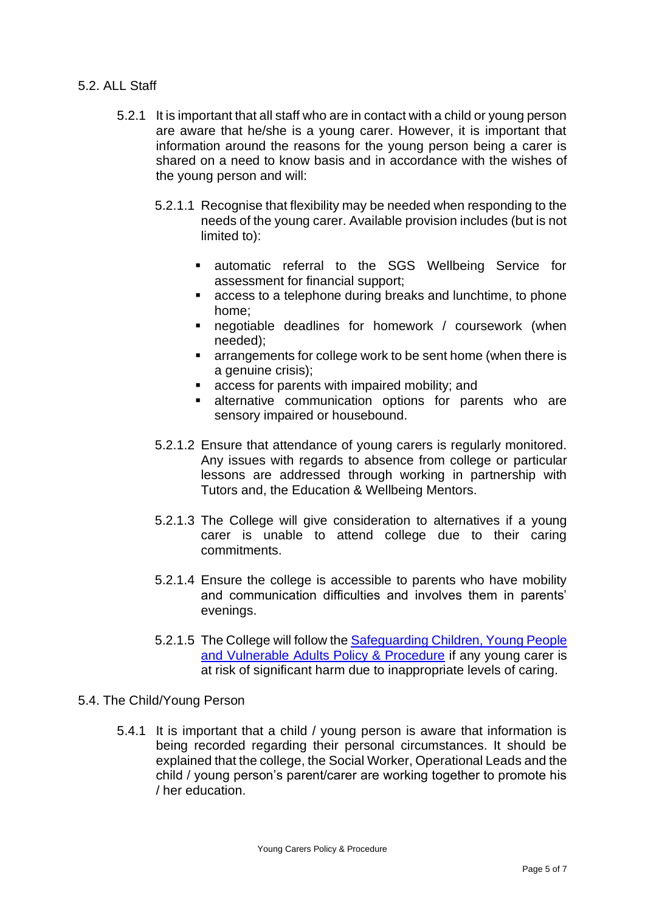#### 5.2. ALL Staff

- 5.2.1 It is important that all staff who are in contact with a child or young person are aware that he/she is a young carer. However, it is important that information around the reasons for the young person being a carer is shared on a need to know basis and in accordance with the wishes of the young person and will:
	- 5.2.1.1 Recognise that flexibility may be needed when responding to the needs of the young carer. Available provision includes (but is not limited to):
		- **■** automatic referral to the SGS Wellbeing Service for assessment for financial support;
		- access to a telephone during breaks and lunchtime, to phone home;
		- negotiable deadlines for homework / coursework (when needed);
		- arrangements for college work to be sent home (when there is a genuine crisis);
		- access for parents with impaired mobility; and
		- **EXECUTE:** alternative communication options for parents who are sensory impaired or housebound.
	- 5.2.1.2 Ensure that attendance of young carers is regularly monitored. Any issues with regards to absence from college or particular lessons are addressed through working in partnership with Tutors and, the Education & Wellbeing Mentors.
	- 5.2.1.3 The College will give consideration to alternatives if a young carer is unable to attend college due to their caring commitments.
	- 5.2.1.4 Ensure the college is accessible to parents who have mobility and communication difficulties and involves them in parents' evenings.
	- 5.2.1.5 The College will follow the Safeguarding Children, Young People [and Vulnerable Adults Policy & Procedure](https://sgscol.sharepoint.com/:w:/s/staff/DataHub/Edi8u9rMltdDplv4KOIk_a0BaTl9kJ3EIidRLDuh5hnnfA?e=M7t7xk) if any young carer is at risk of significant harm due to inappropriate levels of caring.
- 5.4. The Child/Young Person
	- 5.4.1 It is important that a child / young person is aware that information is being recorded regarding their personal circumstances. It should be explained that the college, the Social Worker, Operational Leads and the child / young person's parent/carer are working together to promote his / her education.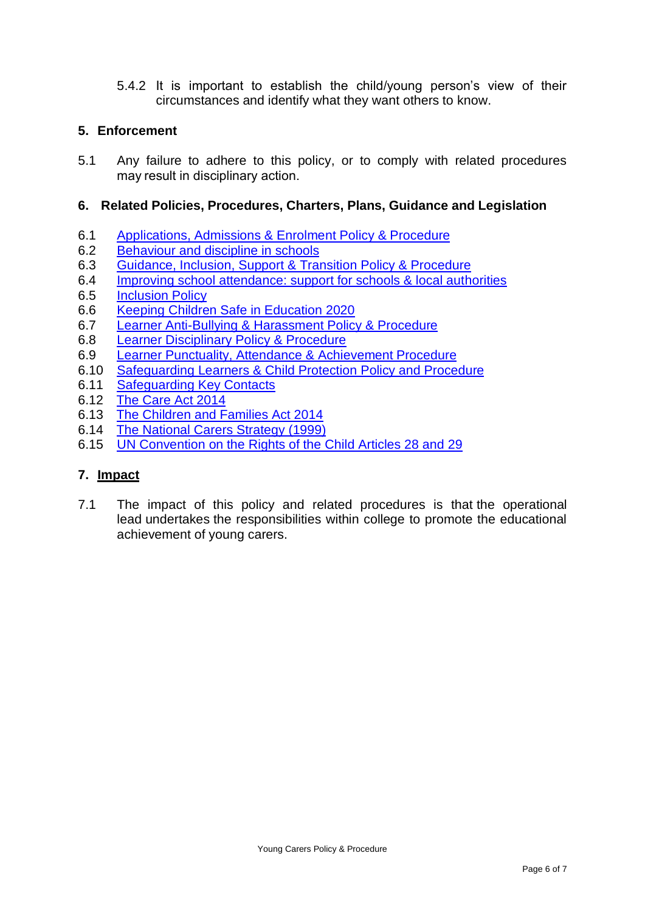5.4.2 It is important to establish the child/young person's view of their circumstances and identify what they want others to know.

#### **5. Enforcement**

5.1 Any failure to adhere to this policy, or to comply with related procedures may result in disciplinary action. 

#### **6. Related Policies, Procedures, Charters, Plans, Guidance and Legislation**

- 6.1 [Applications, Admissions & Enrolment Policy & Procedure](https://sgscol.sharepoint.com/:w:/r/sites/staff/DataHub/Official%20Documents%20in%20SGS/Applications,%20Admissions%20and%20Enrolments.docx?d=w6a36cc20a039443ca6d651a675044895&csf=1&web=1&e=yflQyd)
- 6.2 [Behaviour and discipline in schools](https://www.gov.uk/government/publications/behaviour-and-discipline-in-schools)
- 6.3 Guidance, Inclusion, Support [& Transition Policy & Procedure](https://sgscol.sharepoint.com/:w:/r/sites/staff/DataHub/Official%20Documents%20in%20SGS/Guidance,%20Inclusion,%20Support%20and%20Transition.docx?d=w6101917cf8934ac29e2f7a70121af81f&csf=1&web=1&e=voinGy)
- 6.4 [Improving school attendance: support for schools & local authorities](https://www.gov.uk/government/publications/school-attendance/framework-for-securing-full-attendance-actions-for-schools-and-local-authorities)
- 6.5 [Inclusion Policy](https://sgscol.sharepoint.com/:w:/r/sites/staff/DataHub/Official%20Documents%20in%20SGS/Inclusion%20Policy.docx?d=w54c86f55c07e4299b293762f3b29c339&csf=1&web=1&e=g202Jr)
- 6.6 [Keeping Children Safe in Education 2020](https://www.gov.uk/government/publications/keeping-children-safe-in-education--2)
- 6.7 [Learner Anti-Bullying & Harassment Policy & Procedure](https://sgscol.sharepoint.com/:w:/s/staff/DataHub/EX-iUalBRmlJsrkcUNd6-7QBptXsiNIJob4Nh9x5JrCmyg?e=NUcrsJ)
- 6.8 [Learner Disciplinary Policy & Procedure](https://sgscol.sharepoint.com/:w:/r/sites/staff/DataHub/Official%20Documents%20in%20SGS/Learner%20Disciplinary%20Policy.docx?d=w1cfe0aec27644f02955b612553c15f60&csf=1&web=1&e=nVmARy)
- 6.9 [Learner Punctuality, Attendance & Achievement Procedure](https://sgscol.sharepoint.com/:w:/r/sites/staff/DataHub/Official%20Documents%20in%20SGS/Learner%20Attendance,%20Punctuality%20%26%20Retention.docx?d=wc916bc43cdd8474aaf028d5d8f83b069&csf=1&web=1&e=ILshT6)
- 6.10 [Safeguarding Learners & Child Protection](https://sgscol.sharepoint.com/:w:/s/staff/DataHub/Ef8s_WHEamBAhJv0U0ZYNwIBbsttvjjc5fkFzYdY4qDikQ?e=3rtNSO) Policy and Procedure
- 6.11 [Safeguarding Key Contacts](https://sgscol.sharepoint.com/:w:/s/staff/DataHub/EYr23YBQSQ1JmbDH1xXm9icB3bMPOFOQu8godqRcJmkl9A?e=5dw8Jg)
- 6.12 [The Care Act 2014](https://www.legislation.gov.uk/ukpga/2014/23/contents/enacted)
- 6.13 [The Children and Families Act 2014](https://www.legislation.gov.uk/ukpga/2014/6/contents/enacted)
- 6.14 [The National Carers Strategy \(1999\)](https://www.gov.uk/government/news/a-national-strategy-for-carers)
- 6.15 [UN Convention on the Rights of the Child Articles 28 and 29](https://www.unicef.org.uk/rights-respecting-schools/the-right-to-education/)

#### **7. Impact**

7.1 The impact of this policy and related procedures is that the operational lead undertakes the responsibilities within college to promote the educational achievement of young carers.